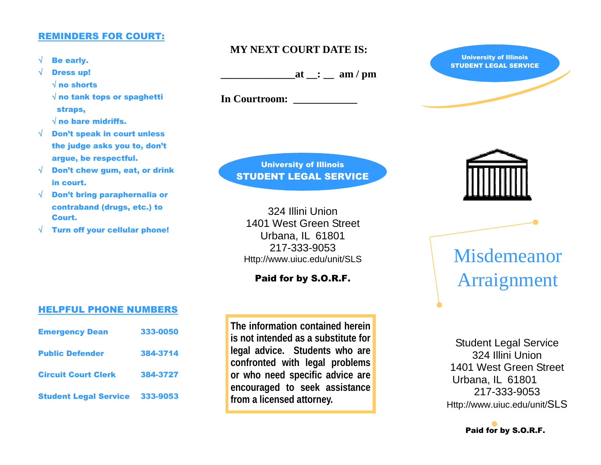### REMINDERS FOR COURT:

- Be early.
- √Dress up!

√ no shorts

 $\sqrt{ }$  no tank tops or spaghetti straps,

 $\sqrt{ }$  no bare midriffs.

- Don't speak in court unless the judge asks you to, don't argue, be respectful.
- Don't chew gum, eat, or drink in court.
- Don't bring paraphernalia or contraband (drugs, etc.) to Court.
- Turn off your cellular phone!

# **MY NEXT COURT DATE IS:**

 $\mathsf{at} \_\_\mathsf{r} = \mathsf{am}/\mathsf{pm}$ 

In Courtroom:

University of Illinois STUDENT LEGAL SERVICE



University of Illinois STUDENT LEGAL SERVICE

324 Illini Union 1401 West Green Street Urbana, IL 61801 217-333-9053 Http://www.uiuc.edu/unit/SLS

#### HELPFUL PHONE NUMBERS

| <b>Emergency Dean</b>        | 333-0050 |
|------------------------------|----------|
| <b>Public Defender</b>       | 384-3714 |
| <b>Circuit Court Clerk</b>   | 384-3727 |
| <b>Student Legal Service</b> | 333-9053 |

**The information contained herein is not intended as a substitute for legal advice. Students who are confronted with legal problems or who need specific advice are encouraged to seek assistance from a licensed attorney.**

Misdemeanor Paid for by S.O.R.F.<br>Arraignment

> Student Legal Service 324 Illini Union 1401 West Green Street Urbana, IL 61801 217-333-9053 Http://www.uiuc.edu/unit/SLS

> > Paid for by S.O.R.F.